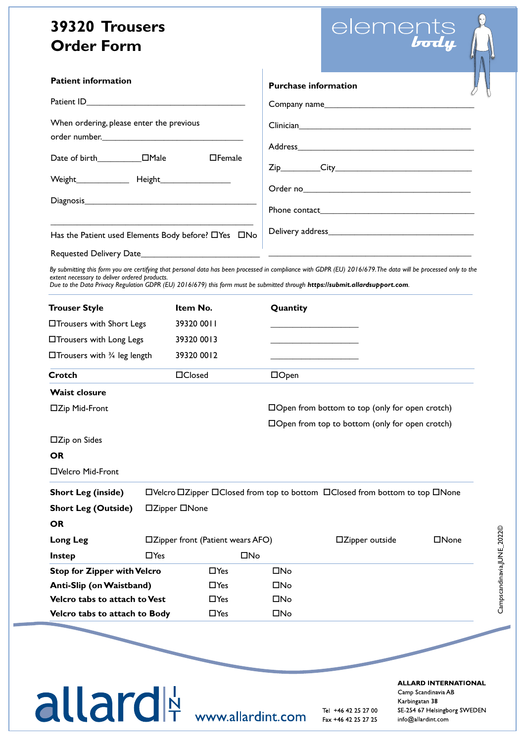### **39320 Trousers Order Form**

| elements               |
|------------------------|
| $\bm{b}$ od $\bm{\mu}$ |

| <b>Patient information</b>                          |                                                                                 |              |                                                       | <b>Purchase information</b>                                                                                                                                                                                                                                                                    |       |  |  |
|-----------------------------------------------------|---------------------------------------------------------------------------------|--------------|-------------------------------------------------------|------------------------------------------------------------------------------------------------------------------------------------------------------------------------------------------------------------------------------------------------------------------------------------------------|-------|--|--|
|                                                     |                                                                                 |              |                                                       |                                                                                                                                                                                                                                                                                                |       |  |  |
| When ordering, please enter the previous            |                                                                                 |              |                                                       |                                                                                                                                                                                                                                                                                                |       |  |  |
| $\Box$ Female                                       |                                                                                 |              |                                                       |                                                                                                                                                                                                                                                                                                |       |  |  |
|                                                     |                                                                                 |              |                                                       |                                                                                                                                                                                                                                                                                                |       |  |  |
|                                                     |                                                                                 |              |                                                       | Phone contact.                                                                                                                                                                                                                                                                                 |       |  |  |
| Has the Patient used Elements Body before? DYes DNo |                                                                                 |              |                                                       |                                                                                                                                                                                                                                                                                                |       |  |  |
|                                                     |                                                                                 |              |                                                       |                                                                                                                                                                                                                                                                                                |       |  |  |
| extent necessary to deliver ordered products.       |                                                                                 |              |                                                       | By submitting this form you are certifying that personal data has been processed in compliance with GDPR (EU) 2016/679. The data will be processed only to the<br>Due to the Data Privacy Regulation GDPR (EU) 2016/679) this form must be submitted through https://submit.allardsupport.com. |       |  |  |
| <b>Trouser Style</b>                                | Item No.                                                                        |              |                                                       | Quantity                                                                                                                                                                                                                                                                                       |       |  |  |
| □Trousers with Short Legs                           | 39320 0011                                                                      |              |                                                       |                                                                                                                                                                                                                                                                                                |       |  |  |
| □Trousers with Long Legs                            |                                                                                 | 39320 0013   |                                                       |                                                                                                                                                                                                                                                                                                |       |  |  |
| $\Box$ Trousers with 3/4 leg length<br>39320 0012   |                                                                                 |              |                                                       |                                                                                                                                                                                                                                                                                                |       |  |  |
| Crotch                                              | □Closed                                                                         |              | $\Box$ Open                                           |                                                                                                                                                                                                                                                                                                |       |  |  |
| <b>Waist closure</b>                                |                                                                                 |              |                                                       |                                                                                                                                                                                                                                                                                                |       |  |  |
| □Zip Mid-Front                                      |                                                                                 |              | $\Box$ Open from bottom to top (only for open crotch) |                                                                                                                                                                                                                                                                                                |       |  |  |
|                                                     |                                                                                 |              |                                                       | $\Box$ Open from top to bottom (only for open crotch)                                                                                                                                                                                                                                          |       |  |  |
| □Zip on Sides                                       |                                                                                 |              |                                                       |                                                                                                                                                                                                                                                                                                |       |  |  |
| <b>OR</b>                                           |                                                                                 |              |                                                       |                                                                                                                                                                                                                                                                                                |       |  |  |
| □Velcro Mid-Front                                   |                                                                                 |              |                                                       |                                                                                                                                                                                                                                                                                                |       |  |  |
| <b>Short Leg (inside)</b>                           | □Velcro □ Zipper □ Closed from top to bottom □ Closed from bottom to top □ None |              |                                                       |                                                                                                                                                                                                                                                                                                |       |  |  |
| <b>Short Leg (Outside)</b>                          | □Zipper □None                                                                   |              |                                                       |                                                                                                                                                                                                                                                                                                |       |  |  |
| <b>OR</b>                                           |                                                                                 |              |                                                       |                                                                                                                                                                                                                                                                                                |       |  |  |
| <b>Long Leg</b>                                     | □Zipper front (Patient wears AFO)                                               |              |                                                       | □Zipper outside                                                                                                                                                                                                                                                                                | □None |  |  |
| <b>Instep</b>                                       | $\Box$ Yes                                                                      |              | $\square$ No                                          |                                                                                                                                                                                                                                                                                                |       |  |  |
| <b>Stop for Zipper with Velcro</b><br>$\Box$ Yes    |                                                                                 | $\square$ No |                                                       |                                                                                                                                                                                                                                                                                                |       |  |  |
|                                                     |                                                                                 | $\Box$ Yes   | $\square$ No                                          |                                                                                                                                                                                                                                                                                                |       |  |  |
| Anti-Slip (on Waistband)                            |                                                                                 |              |                                                       |                                                                                                                                                                                                                                                                                                |       |  |  |
| <b>Velcro tabs to attach to Vest</b>                |                                                                                 | $\Box$ Yes   | □No                                                   |                                                                                                                                                                                                                                                                                                |       |  |  |

# allard<sup>N</sup> www.allardint.com

Tel +46 42 25 27 00 Fax +46 42 25 27 25 Campscandinavia,Julian,Julian,Julian,Julian,Julian,Julian,Julian,Julian,Julian,J

Campscandinavia,JUNE\_2022©

Campscandinavia, JUNE\_2022©